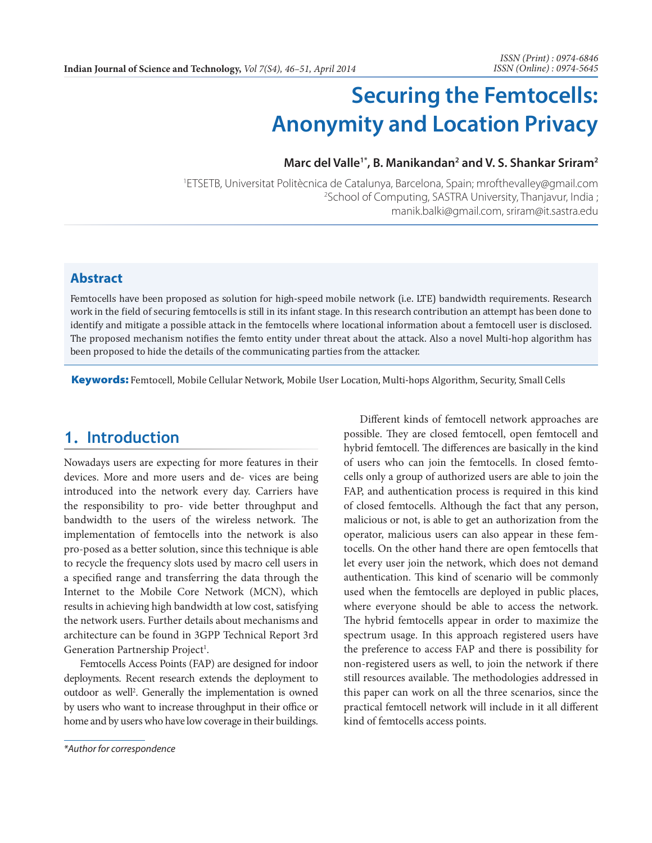# **Securing the Femtocells: Anonymity and Location Privacy**

#### **Marc del Valle1\*, B. Manikandan2 and V. S. Shankar Sriram2**

1 ETSETB, Universitat Politècnica de Catalunya, Barcelona, Spain; mrofthevalley@gmail.com 2 School of Computing, SASTRA University, Thanjavur, India ; manik.balki@gmail.com, sriram@it.sastra.edu

#### **Abstract**

Femtocells have been proposed as solution for high-speed mobile network (i.e. LTE) bandwidth requirements. Research work in the field of securing femtocells is still in its infant stage. In this research contribution an attempt has been done to identify and mitigate a possible attack in the femtocells where locational information about a femtocell user is disclosed. The proposed mechanism notifies the femto entity under threat about the attack. Also a novel Multi-hop algorithm has been proposed to hide the details of the communicating parties from the attacker.

Keywords: Femtocell, Mobile Cellular Network, Mobile User Location, Multi-hops Algorithm, Security, Small Cells

# **1. Introduction**

Nowadays users are expecting for more features in their devices. More and more users and de- vices are being introduced into the network every day. Carriers have the responsibility to pro- vide better throughput and bandwidth to the users of the wireless network. The implementation of femtocells into the network is also pro-posed as a better solution, since this technique is able to recycle the frequency slots used by macro cell users in a specified range and transferring the data through the Internet to the Mobile Core Network (MCN), which results in achieving high bandwidth at low cost, satisfying the network users. Further details about mechanisms and architecture can be found in 3GPP Technical Report 3rd Generation Partnership Project<sup>1</sup>.

Femtocells Access Points (FAP) are designed for indoor deployments. Recent research extends the deployment to outdoor as well<sup>2</sup>. Generally the implementation is owned by users who want to increase throughput in their office or home and by users who have low coverage in their buildings.

*\*Author for correspondence*

Different kinds of femtocell network approaches are possible. They are closed femtocell, open femtocell and hybrid femtocell. The differences are basically in the kind of users who can join the femtocells. In closed femtocells only a group of authorized users are able to join the FAP, and authentication process is required in this kind of closed femtocells. Although the fact that any person, malicious or not, is able to get an authorization from the operator, malicious users can also appear in these femtocells. On the other hand there are open femtocells that let every user join the network, which does not demand authentication. This kind of scenario will be commonly used when the femtocells are deployed in public places, where everyone should be able to access the network. The hybrid femtocells appear in order to maximize the spectrum usage. In this approach registered users have the preference to access FAP and there is possibility for non-registered users as well, to join the network if there still resources available. The methodologies addressed in this paper can work on all the three scenarios, since the practical femtocell network will include in it all different kind of femtocells access points.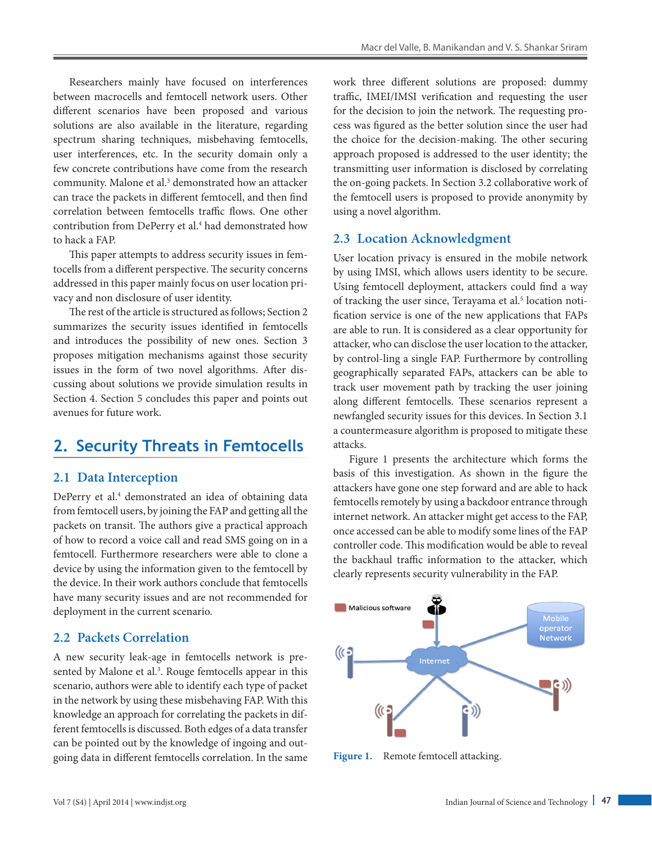Researchers mainly have focused on interferences between macrocells and femtocell network users. Other different scenarios have been proposed and various solutions are also available in the literature, regarding spectrum sharing techniques, misbehaving femtocells, user interferences, etc. In the security domain only a few concrete contributions have come from the research community. Malone et al.<sup>3</sup> demonstrated how an attacker can trace the packets in different femtocell, and then find correlation between femtocells traffic flows. One other contribution from DePerry et al.<sup>4</sup> had demonstrated how to hack a FAP.

This paper attempts to address security issues in femtocells from a different perspective. The security concerns addressed in this paper mainly focus on user location privacy and non disclosure of user identity.

The rest of the article is structured as follows; Section 2 summarizes the security issues identified in femtocells and introduces the possibility of new ones. Section 3 proposes mitigation mechanisms against those security issues in the form of two novel algorithms. After discussing about solutions we provide simulation results in Section 4. Section 5 concludes this paper and points out avenues for future work.

# **2. Security Threats in Femtocells**

### **2.1 Data Interception**

DePerry et al.<sup>4</sup> demonstrated an idea of obtaining data from femtocell users, by joining the FAP and getting all the packets on transit. The authors give a practical approach of how to record a voice call and read SMS going on in a femtocell. Furthermore researchers were able to clone a device by using the information given to the femtocell by the device. In their work authors conclude that femtocells have many security issues and are not recommended for deployment in the current scenario.

### **2.2 Packets Correlation**

A new security leak-age in femtocells network is presented by Malone et al.<sup>3</sup>. Rouge femtocells appear in this scenario, authors were able to identify each type of packet in the network by using these misbehaving FAP. With this knowledge an approach for correlating the packets in different femtocells is discussed. Both edges of a data transfer can be pointed out by the knowledge of ingoing and outgoing data in different femtocells correlation. In the same

work three different solutions are proposed: dummy traffic, IMEI/IMSI verification and requesting the user for the decision to join the network. The requesting process was figured as the better solution since the user had the choice for the decision-making. The other securing approach proposed is addressed to the user identity; the transmitting user information is disclosed by correlating the on-going packets. In Section 3.2 collaborative work of the femtocell users is proposed to provide anonymity by using a novel algorithm.

### **2.3 Location Acknowledgment**

User location privacy is ensured in the mobile network by using IMSI, which allows users identity to be secure. Using femtocell deployment, attackers could find a way of tracking the user since, Terayama et al.<sup>5</sup> location notification service is one of the new applications that FAPs are able to run. It is considered as a clear opportunity for attacker, who can disclose the user location to the attacker, by control-ling a single FAP. Furthermore by controlling geographically separated FAPs, attackers can be able to track user movement path by tracking the user joining along different femtocells. These scenarios represent a newfangled security issues for this devices. In Section 3.1 a countermeasure algorithm is proposed to mitigate these attacks.

Figure 1 presents the architecture which forms the basis of this investigation. As shown in the figure the attackers have gone one step forward and are able to hack femtocells remotely by using a backdoor entrance through internet network. An attacker might get access to the FAP, once accessed can be able to modify some lines of the FAP controller code. This modification would be able to reveal the backhaul traffic information to the attacker, which clearly represents security vulnerability in the FAP.



**Figure 1.** Remote femtocell attacking.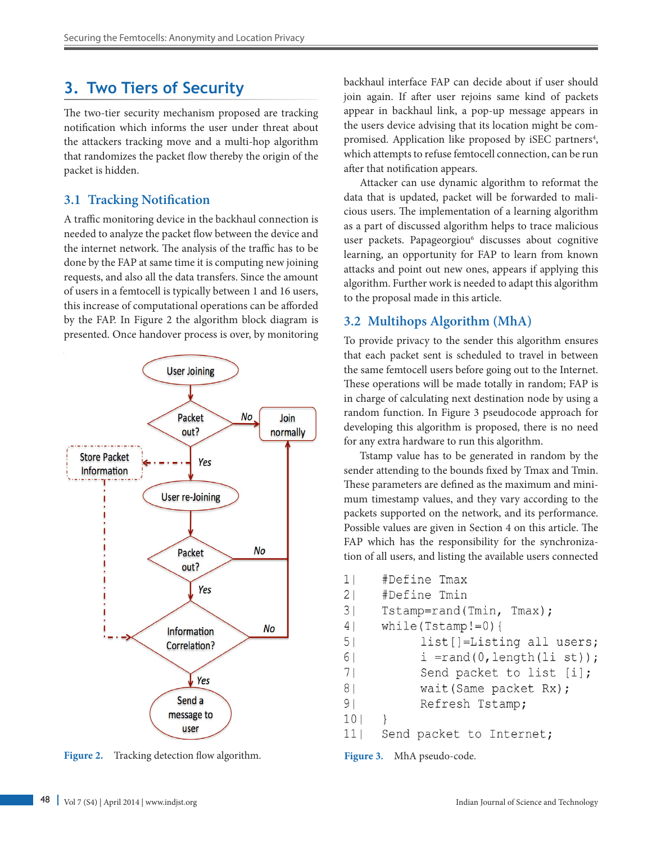# **3. Two Tiers of Security**

The two-tier security mechanism proposed are tracking notification which informs the user under threat about the attackers tracking move and a multi-hop algorithm that randomizes the packet flow thereby the origin of the packet is hidden.

### **3.1 Tracking Notification**

A traffic monitoring device in the backhaul connection is needed to analyze the packet flow between the device and the internet network. The analysis of the traffic has to be done by the FAP at same time it is computing new joining requests, and also all the data transfers. Since the amount of users in a femtocell is typically between 1 and 16 users, this increase of computational operations can be afforded by the FAP. In Figure 2 the algorithm block diagram is presented. Once handover process is over, by monitoring



**Figure 2.** Tracking detection flow algorithm. **Figure 3.** MhA pseudo-code.

backhaul interface FAP can decide about if user should join again. If after user rejoins same kind of packets appear in backhaul link, a pop-up message appears in the users device advising that its location might be compromised. Application like proposed by iSEC partners<sup>4</sup>, which attempts to refuse femtocell connection, can be run after that notification appears.

Attacker can use dynamic algorithm to reformat the data that is updated, packet will be forwarded to malicious users. The implementation of a learning algorithm as a part of discussed algorithm helps to trace malicious user packets. Papageorgiou<sup>6</sup> discusses about cognitive learning, an opportunity for FAP to learn from known attacks and point out new ones, appears if applying this algorithm. Further work is needed to adapt this algorithm to the proposal made in this article.

## **3.2 Multihops Algorithm (MhA)**

To provide privacy to the sender this algorithm ensures that each packet sent is scheduled to travel in between the same femtocell users before going out to the Internet. These operations will be made totally in random; FAP is in charge of calculating next destination node by using a random function. In Figure 3 pseudocode approach for developing this algorithm is proposed, there is no need for any extra hardware to run this algorithm.

Tstamp value has to be generated in random by the sender attending to the bounds fixed by Tmax and Tmin. These parameters are defined as the maximum and minimum timestamp values, and they vary according to the packets supported on the network, and its performance. Possible values are given in Section 4 on this article. The FAP which has the responsibility for the synchronization of all users, and listing the available users connected

```
1<sup>1</sup>#Define Tmax
21#Define Tmin
31Tstamp=rand(Tmin, Tmax);
4<sup>1</sup>while (Tstamp!=0) {
51list []=Listing all users;
61i = rand(0, length(li st));7<sub>1</sub>Send packet to list [i];
8<sup>1</sup>wait (Same packet Rx);
91Refresh Tstamp;
10<sub>1</sub>\}11<sub>1</sub>Send packet to Internet;
```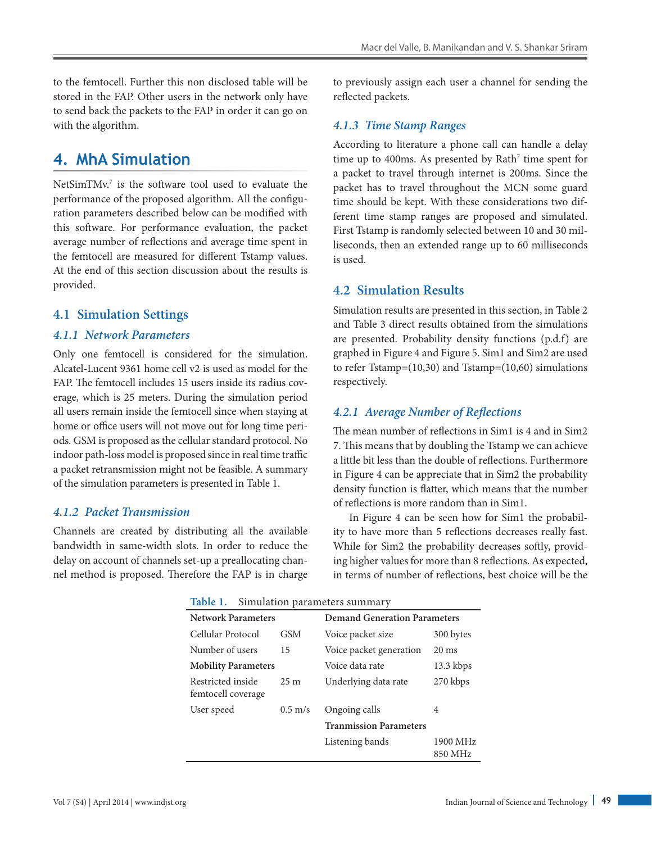to the femtocell. Further this non disclosed table will be stored in the FAP. Other users in the network only have to send back the packets to the FAP in order it can go on with the algorithm.

# **4. MhA Simulation**

NetSimTMv.<sup>7</sup> is the software tool used to evaluate the performance of the proposed algorithm. All the configuration parameters described below can be modified with this software. For performance evaluation, the packet average number of reflections and average time spent in the femtocell are measured for different Tstamp values. At the end of this section discussion about the results is provided.

### **4.1 Simulation Settings**

#### *4.1.1 Network Parameters*

Only one femtocell is considered for the simulation. Alcatel-Lucent 9361 home cell v2 is used as model for the FAP. The femtocell includes 15 users inside its radius coverage, which is 25 meters. During the simulation period all users remain inside the femtocell since when staying at home or office users will not move out for long time periods. GSM is proposed as the cellular standard protocol. No indoor path-loss model is proposed since in real time traffic a packet retransmission might not be feasible. A summary of the simulation parameters is presented in Table 1.

### *4.1.2 Packet Transmission*

Channels are created by distributing all the available bandwidth in same-width slots. In order to reduce the delay on account of channels set-up a preallocating channel method is proposed. Therefore the FAP is in charge to previously assign each user a channel for sending the reflected packets.

#### *4.1.3 Time Stamp Ranges*

According to literature a phone call can handle a delay time up to 400ms. As presented by Rath<sup>7</sup> time spent for a packet to travel through internet is 200ms. Since the packet has to travel throughout the MCN some guard time should be kept. With these considerations two different time stamp ranges are proposed and simulated. First Tstamp is randomly selected between 10 and 30 milliseconds, then an extended range up to 60 milliseconds is used.

#### **4.2 Simulation Results**

Simulation results are presented in this section, in Table 2 and Table 3 direct results obtained from the simulations are presented. Probability density functions (p.d.f) are graphed in Figure 4 and Figure 5. Sim1 and Sim2 are used to refer Tstamp=(10,30) and Tstamp=(10,60) simulations respectively.

#### *4.2.1 Average Number of Reflections*

The mean number of reflections in Sim1 is 4 and in Sim2 7. This means that by doubling the Tstamp we can achieve a little bit less than the double of reflections. Furthermore in Figure 4 can be appreciate that in Sim2 the probability density function is flatter, which means that the number of reflections is more random than in Sim1.

In Figure 4 can be seen how for Sim1 the probability to have more than 5 reflections decreases really fast. While for Sim2 the probability decreases softly, providing higher values for more than 8 reflections. As expected, in terms of number of reflections, best choice will be the

**Table 1.** Simulation parameters summary

| <b>Network Parameters</b>               |           | <b>Demand Generation Parameters</b> |                 |
|-----------------------------------------|-----------|-------------------------------------|-----------------|
| Cellular Protocol                       | GSM       | Voice packet size                   | 300 bytes       |
| Number of users                         | 15        | Voice packet generation             | $20 \text{ ms}$ |
| <b>Mobility Parameters</b>              |           | Voice data rate                     | $13.3$ kbps     |
| Restricted inside<br>femtocell coverage | 25m       | Underlying data rate                | 270 kbps        |
| User speed                              | $0.5$ m/s | Ongoing calls                       | 4               |
|                                         |           | <b>Tranmission Parameters</b>       |                 |
|                                         |           | Listening bands                     | 1900 MHz        |
|                                         |           |                                     | 850 MHz         |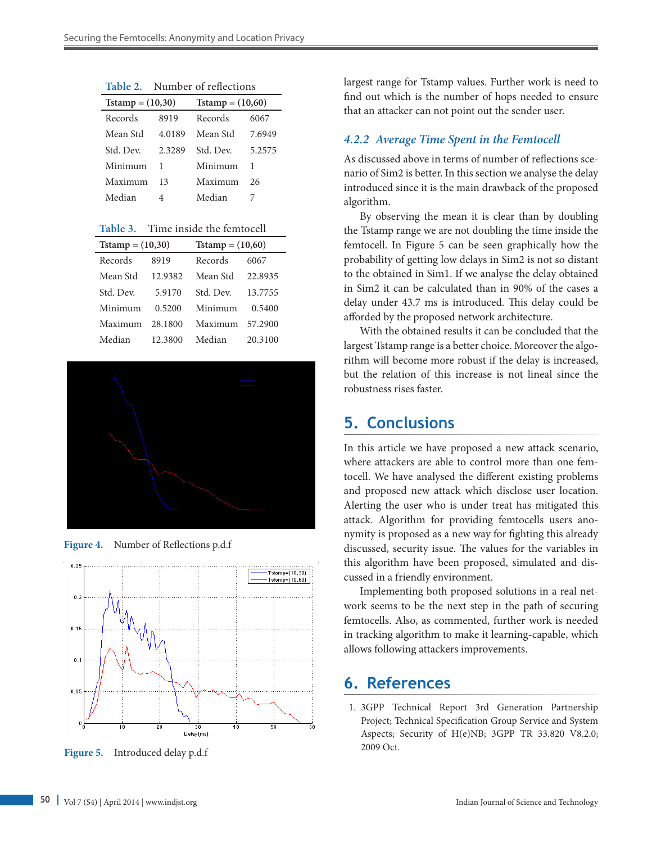**Table 2.** Number of reflections

| $Tstamp = (10,30)$ |        | $Tstamp = (10,60)$ |        |  |
|--------------------|--------|--------------------|--------|--|
| Records            | 8919   | Records            | 6067   |  |
| Mean Std           | 4.0189 | Mean Std           | 7.6949 |  |
| Std. Dev.          | 2.3289 | Std. Dev.          | 5.2575 |  |
| Minimum            |        | Minimum            |        |  |
| Maximum            | 13     | Maximum            | 26     |  |
| Median             |        | Median             |        |  |

**Table 3.** Time inside the femtocell

| $Tstamp = (10,30)$ |         | Tstamp = $(10,60)$ |         |  |
|--------------------|---------|--------------------|---------|--|
| Records            | 8919    | Records            | 6067    |  |
| Mean Std           | 12.9382 | Mean Std           | 22.8935 |  |
| Std. Dev.          | 5.9170  | Std. Dev.          | 13.7755 |  |
| Minimum            | 0.5200  | Minimum            | 0.5400  |  |
| Maximum            | 28.1800 | Maximum            | 57.2900 |  |
| Median             | 12.3800 | Median             | 20.3100 |  |



**Figure 4.** Number of Reflections p.d.f



**Figure 5.** Introduced delay p.d.f

largest range for Tstamp values. Further work is need to find out which is the number of hops needed to ensure that an attacker can not point out the sender user.

### *4.2.2 Average Time Spent in the Femtocell*

As discussed above in terms of number of reflections scenario of Sim2 is better. In this section we analyse the delay introduced since it is the main drawback of the proposed algorithm.

By observing the mean it is clear than by doubling the Tstamp range we are not doubling the time inside the femtocell. In Figure 5 can be seen graphically how the probability of getting low delays in Sim2 is not so distant to the obtained in Sim1. If we analyse the delay obtained in Sim2 it can be calculated than in 90% of the cases a delay under 43.7 ms is introduced. This delay could be afforded by the proposed network architecture.

With the obtained results it can be concluded that the largest Tstamp range is a better choice. Moreover the algorithm will become more robust if the delay is increased, but the relation of this increase is not lineal since the robustness rises faster.

# **5. Conclusions**

In this article we have proposed a new attack scenario, where attackers are able to control more than one femtocell. We have analysed the different existing problems and proposed new attack which disclose user location. Alerting the user who is under treat has mitigated this attack. Algorithm for providing femtocells users anonymity is proposed as a new way for fighting this already discussed, security issue. The values for the variables in this algorithm have been proposed, simulated and discussed in a friendly environment.

Implementing both proposed solutions in a real network seems to be the next step in the path of securing femtocells. Also, as commented, further work is needed in tracking algorithm to make it learning-capable, which allows following attackers improvements.

# **6. References**

1. 3GPP Technical Report 3rd Generation Partnership Project; Technical Specification Group Service and System Aspects; Security of H(e)NB; 3GPP TR 33.820 V8.2.0; 2009 Oct.